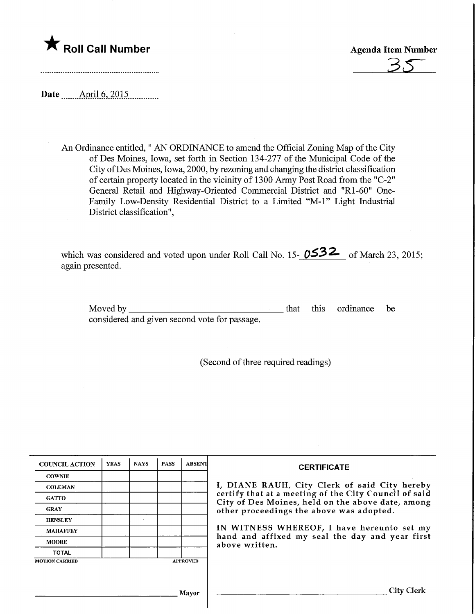

**Agenda Item Number** 

Date ........Aptil.6,.2015,

An Ordinance entitled," AN ORDINANCE to amend the Official Zoning Map of the City of Des Moines, Iowa, set forth in Section 134-277 of the Municipal Code of the City ofDes Moines, Iowa, 2000, by rezoning and changing the district classification of certain property located in the vicinity of 1300 Army Post Road from the "C-2" General Retail and Highway-Oriented Commercial District and "Rl-60" One-Family Low-Density Residential District to a Limited "M-l" Light Industrial District classification",

which was considered and voted upon under Roll Call No. 15-  $0532$  of March 23, 2015; again presented.

Moved by considered and given second vote for passage. that this ordinance be

(Second of three required readings)

| <b>COUNCIL ACTION</b> | <b>YEAS</b> | <b>NAYS</b> | <b>PASS</b> | <b>ABSENT</b>   | <b>CERTIFICATE</b>                                                                                         |
|-----------------------|-------------|-------------|-------------|-----------------|------------------------------------------------------------------------------------------------------------|
| <b>COWNIE</b>         |             |             |             |                 |                                                                                                            |
| <b>COLEMAN</b>        |             |             |             |                 | I, DIANE RAUH, City Clerk of said City hereby                                                              |
| <b>GATTO</b>          |             |             |             |                 | certify that at a meeting of the City Council of said<br>City of Des Moines, held on the above date, among |
| <b>GRAY</b>           |             |             |             |                 | other proceedings the above was adopted.                                                                   |
| <b>HENSLEY</b>        |             |             |             |                 |                                                                                                            |
| <b>MAHAFFEY</b>       |             |             |             |                 | IN WITNESS WHEREOF, I have hereunto set my                                                                 |
| <b>MOORE</b>          |             |             |             |                 | hand and affixed my seal the day and year first<br>above written.                                          |
| <b>TOTAL</b>          |             |             |             |                 |                                                                                                            |
| <b>MOTION CARRIED</b> |             |             |             | <b>APPROVED</b> |                                                                                                            |
|                       |             |             |             |                 |                                                                                                            |
|                       |             |             |             |                 |                                                                                                            |
|                       |             |             |             | Mavor           | City Clerk                                                                                                 |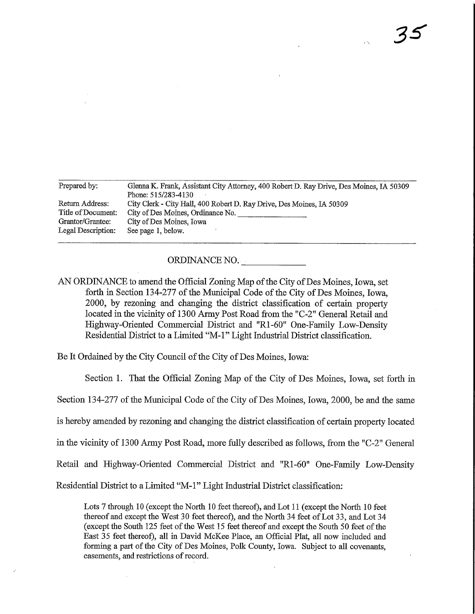| Prepared by:       | Glenna K. Frank, Assistant City Attorney, 400 Robert D. Ray Drive, Des Moines, IA 50309 |
|--------------------|-----------------------------------------------------------------------------------------|
|                    | Phone: 515/283-4130                                                                     |
| Return Address:    | City Clerk - City Hall, 400 Robert D. Ray Drive, Des Moines, IA 50309                   |
| Title of Document: | City of Des Moines, Ordinance No.                                                       |
| Grantor/Grantee:   | City of Des Moines, Iowa                                                                |
| Legal Description: | See page 1, below.                                                                      |
|                    |                                                                                         |

ORDINANCE NO.

AN ORDINANCE to amend the Official Zoning Map of the City of Des Moines, Iowa, set forth in Section 134-277 of the Municipal Code of the City of Des Moines, Iowa, 2000, by rezoning and changing the district classification of certain property located in the vicinity of 1300 Army Post Road from the "C-2" General Retail and Highway-Oriented Commercial District and "Rl-60" One-Family Low-Density Residential District to a Limited "M-l" Light Industrial District classification.

Be It Ordained by the City Council of the City of Des Moines, Iowa:

Section 1. That the Official Zoning Map of the City of Des Moines, Iowa, set forth in

Section 134-277 of the Municipal Code of the City of Des Moines, Iowa, 2000, be and the same

is hereby amended by rezoning and changing the district classification of certain property located

in the vicinity of 1300 Army Post Road, more fully described as follows, from the "C-2" General

Retail and Highway-Oriented Commercial District and "Rl-60" One-Family Low-Density

Residential District to a Limited "M-l" Light Industrial District classification:

Lots 7 through 10 (except the North 10 feet thereof), and Lot 11 (except the North 10 feet thereof and except the West 30 feet thereof), and the North 34 feet of Lot 33, and Lot 34 (except the South 125 feet of the West 15 feet thereof and except the South 50 feet of the East 35 feet thereof), all in David McKee Place, an Official Plat, all now iucluded and forming a part of the City of Des Moines, Polk County, Iowa. Subject to all covenants, easements, and restrictions of record.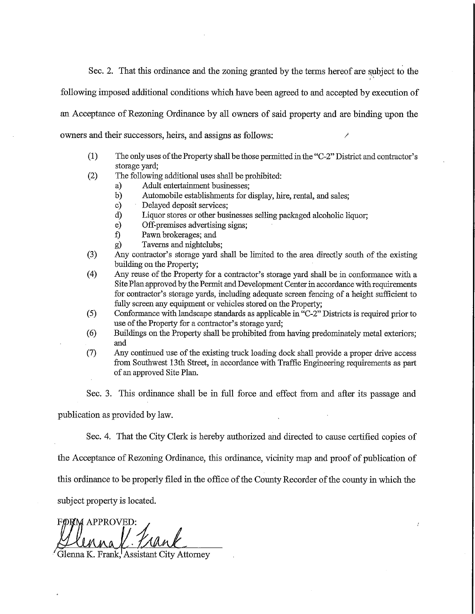Sec. 2. That this ordinance and the zoning granted by the terms hereof are subject to the

following imposed additional conditions which have been agreed to and accepted by execution of

an Acceptance of Rezoning Ordinance by all owners of said property and are binding upon the

owners and their successors, heirs, and assigns as follows:

- (1) The only uses of the Property shall be those permitted m the "C-2" District and contractor's storage yard;
- (2) The followmg additional uses shall be prohibited:
	- a) Adult entertainment businesses;
	- b) Automobile establishments for display, hire, rental, and sales;
	- c) Delayed deposit services;
	- d) Liquor stores or other businesses selling packaged alcoholic liquor;
	- e) Off-premises advertismg signs;
	- f) Pawn. brokerages; and
	- g) Taverns and nightclubs;
- (3) Any contractor's storage yard shall be limited to the area directly south of the existing building on the Property;
- (4) Any reuse of the Property for a contractor's storage yard shall be in conformance with a Site Plan approved by the Permit and Development Center in accordance with requirements for contractor's storage yards, including adequate screen fencing of a height sufficient to fully screen any equipment or vehicles stored on the Property;
- (5) Conformance with landscape standards as applicable m "C-2" Districts is required prior to use of the Property for a contractor's storage yard;
- (6) Buildings on the Property shall be prohibited from having predommately metal exteriors; and
- (7) Any continued use of the existing truck loading dock shall provide a proper drive access from Southwest 13th Street, in accordance with Traffic Engineering requirements as part of an approved Site Plan.

Sec. 3. This ordinance shall be in full force and effect from and after its passage and

publication as provided by law.

Sec. 4. That the City Clerk is hereby authorized and directed to cause certified copies of

the Acceptance of Rezoning Ordinance, this ordinance, vicinity map and proof of publication of

this ordinance to be properly filed in fhe office of the County Recorder of the county in which the

subject property is located.

FØRM APPROVED:  $\text{val}.$  Prank

Glenna K. Frank, Assistant City Attorney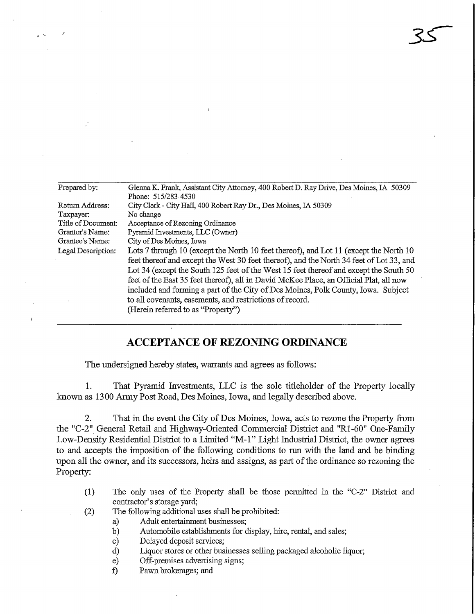| Prepared by:       | Glenna K. Frank, Assistant City Attorney, 400 Robert D. Ray Drive, Des Moines, IA 50309 |  |  |  |  |
|--------------------|-----------------------------------------------------------------------------------------|--|--|--|--|
|                    | Phone: 515/283-4530                                                                     |  |  |  |  |
| Return Address:    | City Clerk - City Hall, 400 Robert Ray Dr., Des Moines, IA 50309                        |  |  |  |  |
| Taxpayer:          | No change                                                                               |  |  |  |  |
| Title of Document: | Acceptance of Rezoning Ordinance                                                        |  |  |  |  |
| Grantor's Name:    | Pyramid Investments, LLC (Owner)                                                        |  |  |  |  |
| Grantee's Name:    | City of Des Moines, Iowa                                                                |  |  |  |  |
| Legal Description: | Lots 7 through 10 (except the North 10 feet thereof), and Lot 11 (except the North 10   |  |  |  |  |
|                    | feet thereof and except the West 30 feet thereof), and the North 34 feet of Lot 33, and |  |  |  |  |
|                    | Lot 34 (except the South 125 feet of the West 15 feet thereof and except the South 50   |  |  |  |  |
|                    | feet of the East 35 feet thereof), all in David McKee Place, an Official Plat, all now  |  |  |  |  |
|                    | included and forming a part of the City of Des Moines, Polk County, Iowa. Subject       |  |  |  |  |
|                    | to all covenants, easements, and restrictions of record.                                |  |  |  |  |
|                    |                                                                                         |  |  |  |  |
|                    | (Herein referred to as "Property")                                                      |  |  |  |  |

3s

## ACCEPTANCE OF REZONING ORDINANCE

The undersigned hereby states, warrants and agrees as follows:

1. That Pyramid Investments, LLC is the sole titleholder of fhe Property locally known as 1300 Anny Post Road, Des Moines, Iowa, and legally described above.

2. That in the event the City of Des Moines, Iowa, acts to rezone the Property from fhe "C-2" General Retail and Highway-Oriented Commercial District and "Rl-60" One-Family Low-Density Residential District to a Limited "M-l" Light Industrial District, the owner agrees to and accepts the imposition of fhe following conditions to run with the land and be binding upon all the owner, and its successors, heirs and assigns, as part of the ordinance so rezoning the Property:

- (1) The only uses of the Property shall be those permitted in the "C-2" District and contractor's storage yard;
- (2) The following additional uses shall be prohibited:
	- a) Adult entertamment businesses;
	- b) Automobile establishments for display, hire, rental, and sales;
	- c) Delayed deposit services;
	- d) Liquor stores or other businesses selling packaged alcoholic liquor;
	- e) Off-premises advertising signs;
	- f) Pawn brokerages; and